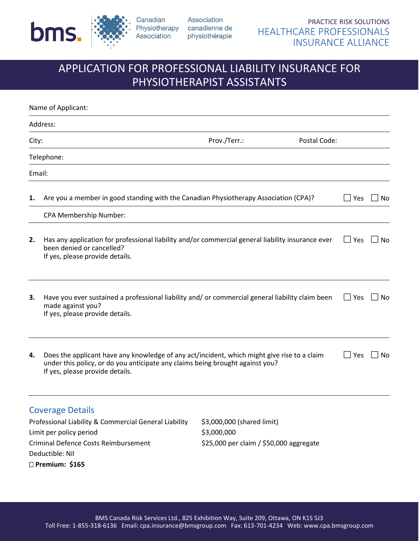

Deductible: Nil **Premium: \$165**

Association Physiotherapy canadienne de physiothérapie

# APPLICATION FOR PROFESSIONAL LIABILITY INSURANCE FOR PHYSIOTHERAPIST ASSISTANTS

|                                                       | Name of Applicant:                                                                                                                                                                                              |                                         |              |            |    |
|-------------------------------------------------------|-----------------------------------------------------------------------------------------------------------------------------------------------------------------------------------------------------------------|-----------------------------------------|--------------|------------|----|
|                                                       | Address:                                                                                                                                                                                                        |                                         |              |            |    |
| City:                                                 |                                                                                                                                                                                                                 | Prov./Terr.:                            | Postal Code: |            |    |
|                                                       | Telephone:                                                                                                                                                                                                      |                                         |              |            |    |
|                                                       | Email:                                                                                                                                                                                                          |                                         |              |            |    |
| 1.                                                    | Are you a member in good standing with the Canadian Physiotherapy Association (CPA)?                                                                                                                            |                                         |              | $\Box$ Yes | No |
|                                                       | CPA Membership Number:                                                                                                                                                                                          |                                         |              |            |    |
| 2.                                                    | Has any application for professional liability and/or commercial general liability insurance ever<br>been denied or cancelled?<br>If yes, please provide details.                                               |                                         |              | l Yes      | No |
| 3.                                                    | Have you ever sustained a professional liability and/ or commercial general liability claim been<br>made against you?<br>If yes, please provide details.                                                        |                                         | $\Box$ Yes   | No         |    |
| 4.                                                    | Does the applicant have any knowledge of any act/incident, which might give rise to a claim<br>under this policy, or do you anticipate any claims being brought against you?<br>If yes, please provide details. |                                         | $\Box$ Yes   | No         |    |
|                                                       | <b>Coverage Details</b>                                                                                                                                                                                         |                                         |              |            |    |
| Professional Liability & Commercial General Liability |                                                                                                                                                                                                                 | \$3,000,000 (shared limit)              |              |            |    |
| Limit per policy period                               |                                                                                                                                                                                                                 | \$3,000,000                             |              |            |    |
| Criminal Defence Costs Reimbursement                  |                                                                                                                                                                                                                 | \$25,000 per claim / \$50,000 aggregate |              |            |    |